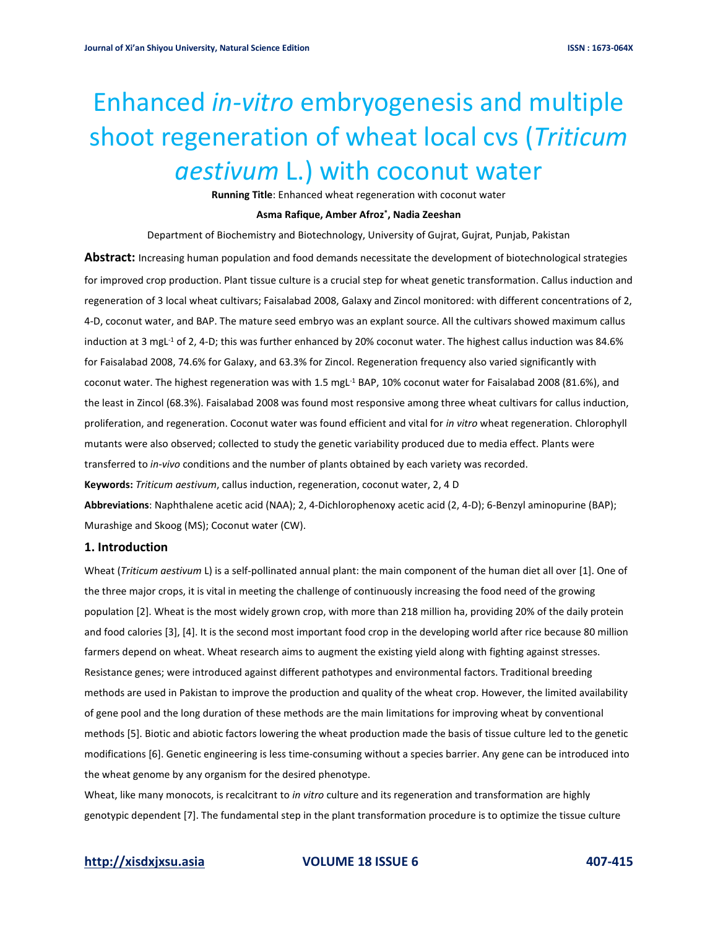# Enhanced *in-vitro* embryogenesis and multiple shoot regeneration of wheat local cvs (*Triticum aestivum* L.) with coconut water

**Running Title**: Enhanced wheat regeneration with coconut water

#### **Asma Rafique, Amber Afroz\* , Nadia Zeeshan**

Department of Biochemistry and Biotechnology, University of Gujrat, Gujrat, Punjab, Pakistan

**Abstract:** Increasing human population and food demands necessitate the development of biotechnological strategies for improved crop production. Plant tissue culture is a crucial step for wheat genetic transformation. Callus induction and regeneration of 3 local wheat cultivars; Faisalabad 2008, Galaxy and Zincol monitored: with different concentrations of 2, 4-D, coconut water, and BAP. The mature seed embryo was an explant source. All the cultivars showed maximum callus induction at 3 mgL<sup>-1</sup> of 2, 4-D; this was further enhanced by 20% coconut water. The highest callus induction was 84.6% for Faisalabad 2008, 74.6% for Galaxy, and 63.3% for Zincol. Regeneration frequency also varied significantly with coconut water. The highest regeneration was with 1.5 mgL<sup>-1</sup> BAP, 10% coconut water for Faisalabad 2008 (81.6%), and the least in Zincol (68.3%). Faisalabad 2008 was found most responsive among three wheat cultivars for callus induction, proliferation, and regeneration. Coconut water was found efficient and vital for *in vitro* wheat regeneration. Chlorophyll mutants were also observed; collected to study the genetic variability produced due to media effect. Plants were transferred to *in-vivo* conditions and the number of plants obtained by each variety was recorded. **Keywords:** *Triticum aestivum*, callus induction, regeneration, coconut water, 2, 4 D **Abbreviations**: Naphthalene acetic acid (NAA); 2, 4-Dichlorophenoxy acetic acid (2, 4-D); 6-Benzyl aminopurine (BAP); Murashige and Skoog (MS); Coconut water (CW).

# **1. Introduction**

Wheat (*Triticum aestivum* L) is a self-pollinated annual plant: the main component of the human diet all over [1]. One of the three major crops, it is vital in meeting the challenge of continuously increasing the food need of the growing population [2]. Wheat is the most widely grown crop, with more than 218 million ha, providing 20% of the daily protein and food calories [3], [4]. It is the second most important food crop in the developing world after rice because 80 million farmers depend on wheat. Wheat research aims to augment the existing yield along with fighting against stresses. Resistance genes; were introduced against different pathotypes and environmental factors. Traditional breeding methods are used in Pakistan to improve the production and quality of the wheat crop. However, the limited availability of gene pool and the long duration of these methods are the main limitations for improving wheat by conventional methods [5]. Biotic and abiotic factors lowering the wheat production made the basis of tissue culture led to the genetic modifications [6]. Genetic engineering is less time-consuming without a species barrier. Any gene can be introduced into the wheat genome by any organism for the desired phenotype.

Wheat, like many monocots, is recalcitrant to *in vitro* culture and its regeneration and transformation are highly genotypic dependent [7]. The fundamental step in the plant transformation procedure is to optimize the tissue culture

### **[http://xisdxjxsu.asia](http://xisdxjxsu.asia/) VOLUME 18 ISSUE 6 407-415**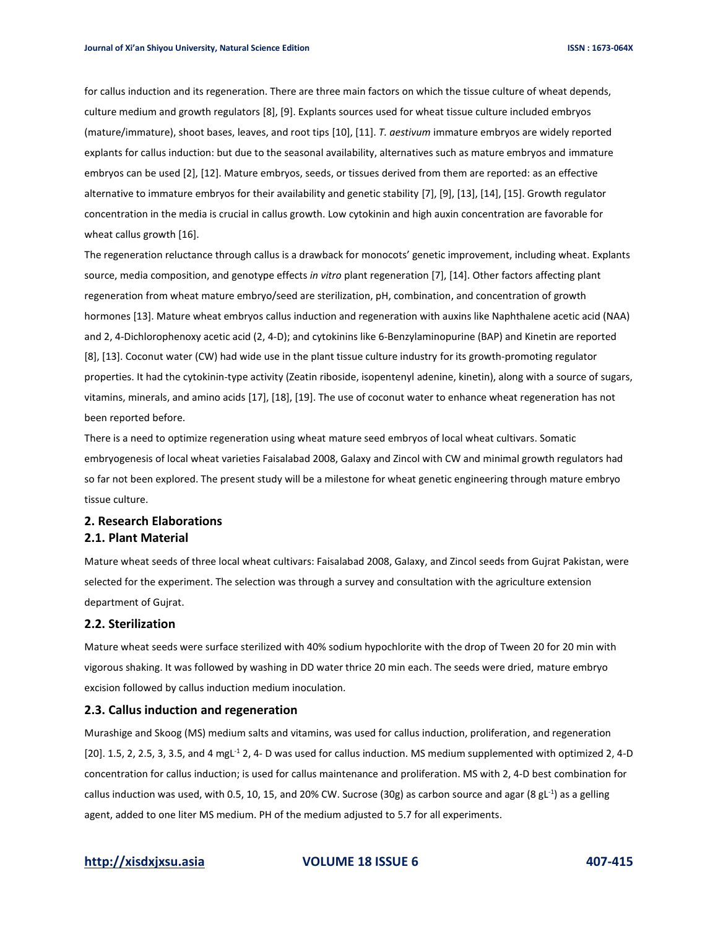for callus induction and its regeneration. There are three main factors on which the tissue culture of wheat depends, culture medium and growth regulators [8], [9]. Explants sources used for wheat tissue culture included embryos (mature/immature), shoot bases, leaves, and root tips [10], [11]. *T. aestivum* immature embryos are widely reported explants for callus induction: but due to the seasonal availability, alternatives such as mature embryos and immature embryos can be used [2], [12]. Mature embryos, seeds, or tissues derived from them are reported: as an effective alternative to immature embryos for their availability and genetic stability [7], [9], [13], [14], [15]. Growth regulator concentration in the media is crucial in callus growth. Low cytokinin and high auxin concentration are favorable for wheat callus growth [16].

The regeneration reluctance through callus is a drawback for monocots' genetic improvement, including wheat. Explants source, media composition, and genotype effects *in vitro* plant regeneration [7], [14]. Other factors affecting plant regeneration from wheat mature embryo/seed are sterilization, pH, combination, and concentration of growth hormones [13]. Mature wheat embryos callus induction and regeneration with auxins like Naphthalene acetic acid (NAA) and 2, 4-Dichlorophenoxy acetic acid (2, 4-D); and cytokinins like 6-Benzylaminopurine (BAP) and Kinetin are reported [8], [13]. Coconut water (CW) had wide use in the plant tissue culture industry for its growth-promoting regulator properties. It had the cytokinin-type activity (Zeatin riboside, isopentenyl adenine, kinetin), along with a source of sugars, vitamins, minerals, and amino acids [17], [18], [19]. The use of coconut water to enhance wheat regeneration has not been reported before.

There is a need to optimize regeneration using wheat mature seed embryos of local wheat cultivars. Somatic embryogenesis of local wheat varieties Faisalabad 2008, Galaxy and Zincol with CW and minimal growth regulators had so far not been explored. The present study will be a milestone for wheat genetic engineering through mature embryo tissue culture.

# **2. Research Elaborations 2.1. Plant Material**

Mature wheat seeds of three local wheat cultivars: Faisalabad 2008, Galaxy, and Zincol seeds from Gujrat Pakistan, were selected for the experiment. The selection was through a survey and consultation with the agriculture extension department of Gujrat.

### **2.2. Sterilization**

Mature wheat seeds were surface sterilized with 40% sodium hypochlorite with the drop of Tween 20 for 20 min with vigorous shaking. It was followed by washing in DD water thrice 20 min each. The seeds were dried, mature embryo excision followed by callus induction medium inoculation.

#### **2.3. Callus induction and regeneration**

Murashige and Skoog (MS) medium salts and vitamins, was used for callus induction, proliferation, and regeneration  $[20]$ . 1.5, 2, 2.5, 3, 3.5, and 4 mgL<sup>-1</sup> 2, 4- D was used for callus induction. MS medium supplemented with optimized 2, 4-D concentration for callus induction; is used for callus maintenance and proliferation. MS with 2, 4-D best combination for callus induction was used, with 0.5, 10, 15, and 20% CW. Sucrose (30g) as carbon source and agar (8 gL<sup>-1</sup>) as a gelling agent, added to one liter MS medium. PH of the medium adjusted to 5.7 for all experiments.

# **[http://xisdxjxsu.asia](http://xisdxjxsu.asia/) VOLUME 18 ISSUE 6 407-415**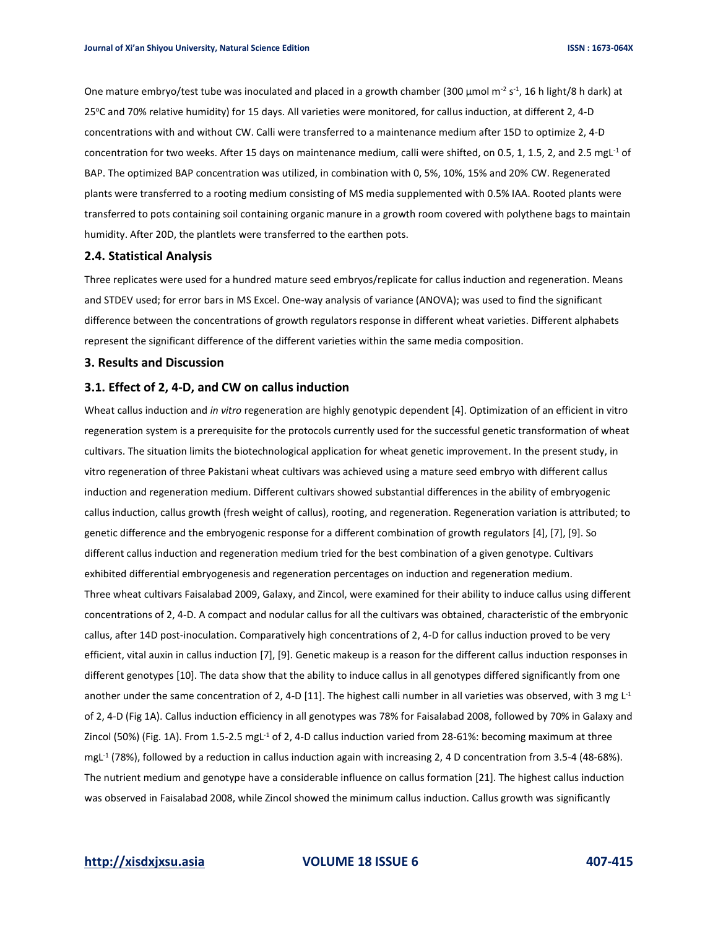One mature embryo/test tube was inoculated and placed in a growth chamber (300 µmol m<sup>-2</sup> s<sup>-1</sup>, 16 h light/8 h dark) at 25°C and 70% relative humidity) for 15 days. All varieties were monitored, for callus induction, at different 2, 4-D concentrations with and without CW. Calli were transferred to a maintenance medium after 15D to optimize 2, 4-D concentration for two weeks. After 15 days on maintenance medium, calli were shifted, on 0.5, 1, 1.5, 2, and 2.5 mgL<sup>-1</sup> of BAP. The optimized BAP concentration was utilized, in combination with 0, 5%, 10%, 15% and 20% CW. Regenerated plants were transferred to a rooting medium consisting of MS media supplemented with 0.5% IAA. Rooted plants were transferred to pots containing soil containing organic manure in a growth room covered with polythene bags to maintain humidity. After 20D, the plantlets were transferred to the earthen pots.

### **2.4. Statistical Analysis**

Three replicates were used for a hundred mature seed embryos/replicate for callus induction and regeneration. Means and STDEV used; for error bars in MS Excel. One-way analysis of variance (ANOVA); was used to find the significant difference between the concentrations of growth regulators response in different wheat varieties. Different alphabets represent the significant difference of the different varieties within the same media composition.

### **3. Results and Discussion**

# **3.1. Effect of 2, 4-D, and CW on callus induction**

Wheat callus induction and *in vitro* regeneration are highly genotypic dependent [4]. Optimization of an efficient in vitro regeneration system is a prerequisite for the protocols currently used for the successful genetic transformation of wheat cultivars. The situation limits the biotechnological application for wheat genetic improvement. In the present study, in vitro regeneration of three Pakistani wheat cultivars was achieved using a mature seed embryo with different callus induction and regeneration medium. Different cultivars showed substantial differences in the ability of embryogenic callus induction, callus growth (fresh weight of callus), rooting, and regeneration. Regeneration variation is attributed; to genetic difference and the embryogenic response for a different combination of growth regulators [4], [7], [9]. So different callus induction and regeneration medium tried for the best combination of a given genotype. Cultivars exhibited differential embryogenesis and regeneration percentages on induction and regeneration medium. Three wheat cultivars Faisalabad 2009, Galaxy, and Zincol, were examined for their ability to induce callus using different concentrations of 2, 4-D. A compact and nodular callus for all the cultivars was obtained, characteristic of the embryonic callus, after 14D post-inoculation. Comparatively high concentrations of 2, 4-D for callus induction proved to be very efficient, vital auxin in callus induction [7], [9]. Genetic makeup is a reason for the different callus induction responses in different genotypes [10]. The data show that the ability to induce callus in all genotypes differed significantly from one another under the same concentration of 2, 4-D [11]. The highest calli number in all varieties was observed, with 3 mg L<sup>-1</sup> of 2, 4-D (Fig 1A). Callus induction efficiency in all genotypes was 78% for Faisalabad 2008, followed by 70% in Galaxy and Zincol (50%) (Fig. 1A). From 1.5-2.5 mgL<sup>-1</sup> of 2, 4-D callus induction varied from 28-61%: becoming maximum at three mgL<sup>-1</sup> (78%), followed by a reduction in callus induction again with increasing 2, 4 D concentration from 3.5-4 (48-68%). The nutrient medium and genotype have a considerable influence on callus formation [21]. The highest callus induction was observed in Faisalabad 2008, while Zincol showed the minimum callus induction. Callus growth was significantly

**[http://xisdxjxsu.asia](http://xisdxjxsu.asia/) VOLUME 18 ISSUE 6 407-415**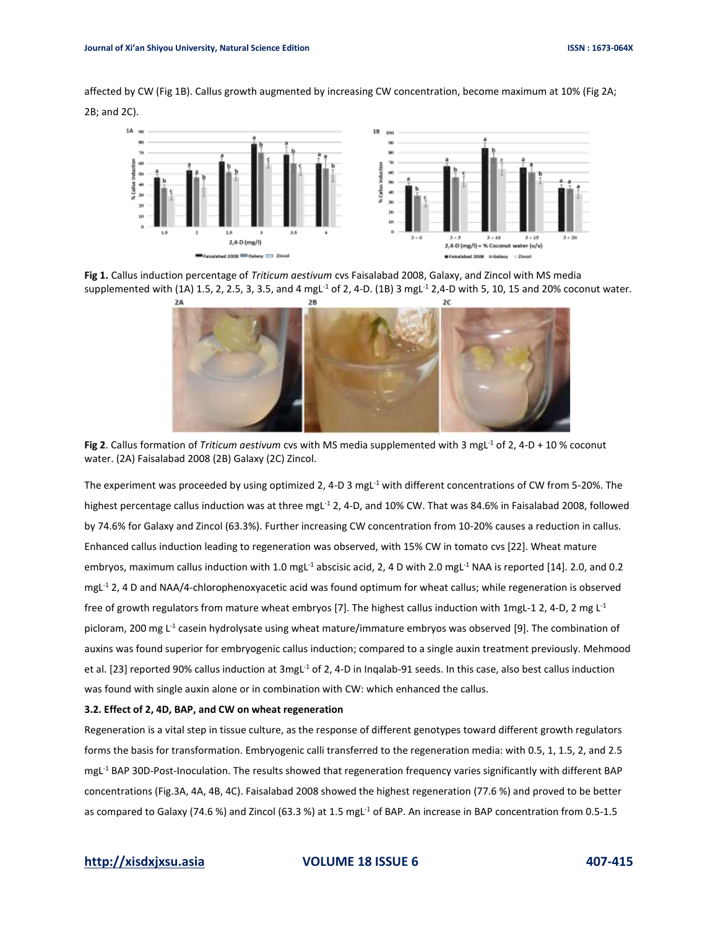affected by CW (Fig 1B). Callus growth augmented by increasing CW concentration, become maximum at 10% (Fig 2A; 2B; and 2C).



**Fig 1.** Callus induction percentage of *Triticum aestivum* cvs Faisalabad 2008, Galaxy, and Zincol with MS media supplemented with (1A) 1.5, 2, 2.5, 3, 3.5, and 4 mgL<sup>-1</sup> of 2, 4-D. (1B) 3 mgL<sup>-1</sup> 2,4-D with 5, 10, 15 and 20% coconut water.



**Fig 2**. Callus formation of *Triticum aestivum* cvs with MS media supplemented with 3 mgL<sup>-1</sup> of 2, 4-D + 10 % coconut water. (2A) Faisalabad 2008 (2B) Galaxy (2C) Zincol.

The experiment was proceeded by using optimized 2, 4-D 3 mgL<sup>-1</sup> with different concentrations of CW from 5-20%. The highest percentage callus induction was at three mgL<sup>-1</sup> 2, 4-D, and 10% CW. That was 84.6% in Faisalabad 2008, followed by 74.6% for Galaxy and Zincol (63.3%). Further increasing CW concentration from 10-20% causes a reduction in callus. Enhanced callus induction leading to regeneration was observed, with 15% CW in tomato cvs [22]. Wheat mature embryos, maximum callus induction with 1.0 mgL<sup>-1</sup> abscisic acid, 2, 4 D with 2.0 mgL<sup>-1</sup> NAA is reported [14]. 2.0, and 0.2 mgL-1 2, 4 D and NAA/4-chlorophenoxyacetic acid was found optimum for wheat callus; while regeneration is observed free of growth regulators from mature wheat embryos [7]. The highest callus induction with 1mgL-1 2, 4-D, 2 mg  $L^1$ picloram, 200 mg L<sup>-1</sup> casein hydrolysate using wheat mature/immature embryos was observed [9]. The combination of auxins was found superior for embryogenic callus induction; compared to a single auxin treatment previously. Mehmood et al. [23] reported 90% callus induction at 3mgL<sup>-1</sup> of 2, 4-D in Inqalab-91 seeds. In this case, also best callus induction was found with single auxin alone or in combination with CW: which enhanced the callus.

### **3.2. Effect of 2, 4D, BAP, and CW on wheat regeneration**

Regeneration is a vital step in tissue culture, as the response of different genotypes toward different growth regulators forms the basis for transformation. Embryogenic calli transferred to the regeneration media: with 0.5, 1, 1.5, 2, and 2.5 mgL-1 BAP 30D-Post-Inoculation. The results showed that regeneration frequency varies significantly with different BAP concentrations (Fig.3A, 4A, 4B, 4C). Faisalabad 2008 showed the highest regeneration (77.6 %) and proved to be better as compared to Galaxy (74.6 %) and Zincol (63.3 %) at 1.5 mgL<sup>-1</sup> of BAP. An increase in BAP concentration from 0.5-1.5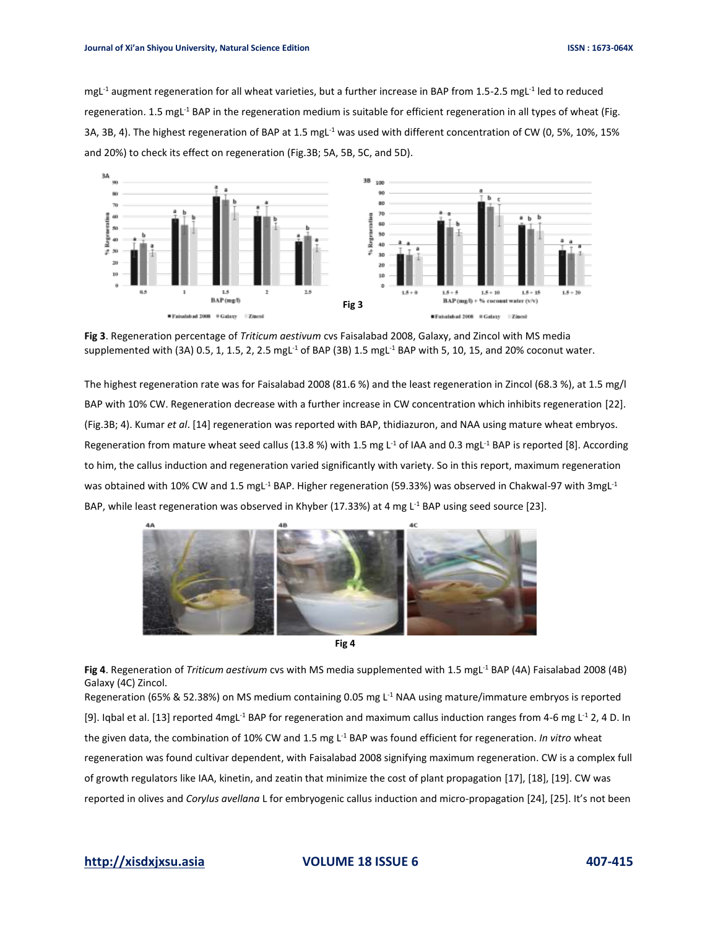mgL<sup>-1</sup> augment regeneration for all wheat varieties, but a further increase in BAP from 1.5-2.5 mgL<sup>-1</sup> led to reduced regeneration. 1.5 mgL<sup>-1</sup> BAP in the regeneration medium is suitable for efficient regeneration in all types of wheat (Fig. 3A, 3B, 4). The highest regeneration of BAP at 1.5 mgL-1 was used with different concentration of CW (0, 5%, 10%, 15% and 20%) to check its effect on regeneration (Fig.3B; 5A, 5B, 5C, and 5D).



**Fig 3**. Regeneration percentage of *Triticum aestivum* cvs Faisalabad 2008, Galaxy, and Zincol with MS media supplemented with (3A) 0.5, 1, 1.5, 2, 2.5 mgL<sup>-1</sup> of BAP (3B) 1.5 mgL<sup>-1</sup> BAP with 5, 10, 15, and 20% coconut water.

The highest regeneration rate was for Faisalabad 2008 (81.6 %) and the least regeneration in Zincol (68.3 %), at 1.5 mg/l BAP with 10% CW. Regeneration decrease with a further increase in CW concentration which inhibits regeneration [22]. (Fig.3B; 4). Kumar *et al*. [14] regeneration was reported with BAP, thidiazuron, and NAA using mature wheat embryos. Regeneration from mature wheat seed callus (13.8 %) with 1.5 mg  $L^1$  of IAA and 0.3 mg L<sup>-1</sup> BAP is reported [8]. According to him, the callus induction and regeneration varied significantly with variety. So in this report, maximum regeneration was obtained with 10% CW and 1.5 mgL<sup>-1</sup> BAP. Higher regeneration (59.33%) was observed in Chakwal-97 with 3mgL<sup>-1</sup> BAP, while least regeneration was observed in Khyber (17.33%) at 4 mg L<sup>-1</sup> BAP using seed source [23].





Fig 4. Regeneration of *Triticum aestivum* cvs with MS media supplemented with 1.5 mgL<sup>-1</sup> BAP (4A) Faisalabad 2008 (4B) Galaxy (4C) Zincol.

Regeneration (65% & 52.38%) on MS medium containing 0.05 mg L<sup>-1</sup> NAA using mature/immature embryos is reported [9]. Iqbal et al. [13] reported 4mgL<sup>-1</sup> BAP for regeneration and maximum callus induction ranges from 4-6 mg L<sup>-1</sup> 2, 4 D. In the given data, the combination of 10% CW and 1.5 mg L -1 BAP was found efficient for regeneration. *In vitro* wheat regeneration was found cultivar dependent, with Faisalabad 2008 signifying maximum regeneration. CW is a complex full of growth regulators like IAA, kinetin, and zeatin that minimize the cost of plant propagation [17], [18], [19]. CW was reported in olives and *Corylus avellana* L for embryogenic callus induction and micro-propagation [24], [25]. It's not been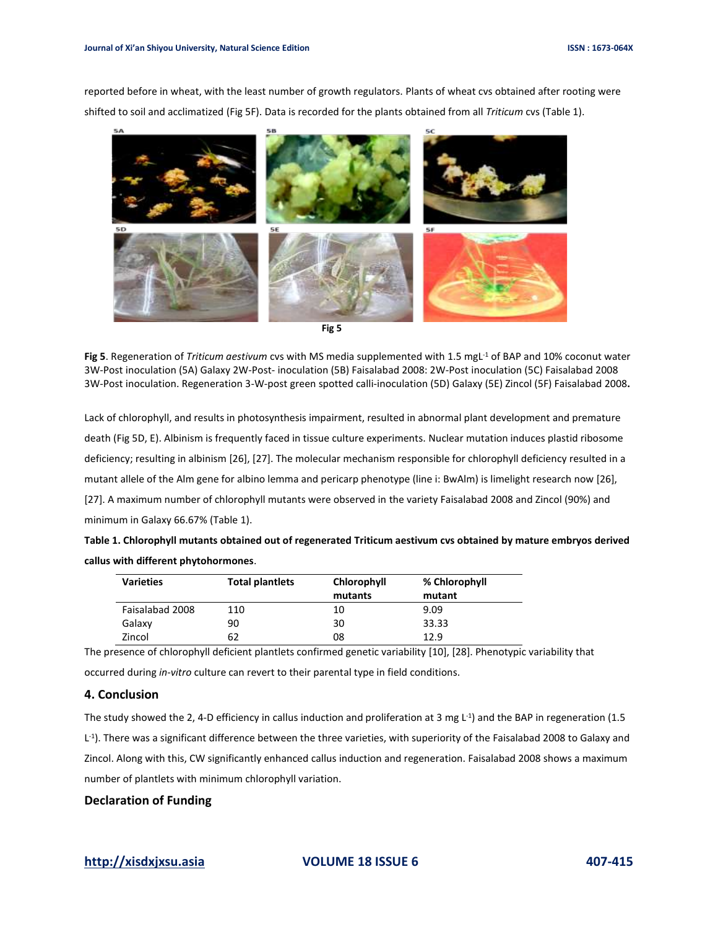reported before in wheat, with the least number of growth regulators. Plants of wheat cvs obtained after rooting were shifted to soil and acclimatized (Fig 5F). Data is recorded for the plants obtained from all *Triticum* cvs (Table 1).



Fig 5. Regeneration of *Triticum aestivum* cvs with MS media supplemented with 1.5 mgL<sup>-1</sup> of BAP and 10% coconut water 3W-Post inoculation (5A) Galaxy 2W-Post- inoculation (5B) Faisalabad 2008: 2W-Post inoculation (5C) Faisalabad 2008 3W-Post inoculation. Regeneration 3-W-post green spotted calli-inoculation (5D) Galaxy (5E) Zincol (5F) Faisalabad 2008**.**

Lack of chlorophyll, and results in photosynthesis impairment, resulted in abnormal plant development and premature death (Fig 5D, E). Albinism is frequently faced in tissue culture experiments. Nuclear mutation induces plastid ribosome deficiency; resulting in albinism [26], [27]. The molecular mechanism responsible for chlorophyll deficiency resulted in a mutant allele of the Alm gene for albino lemma and pericarp phenotype (line i: BwAlm) is limelight research now [26], [27]. A maximum number of chlorophyll mutants were observed in the variety Faisalabad 2008 and Zincol (90%) and minimum in Galaxy 66.67% (Table 1).

**Table 1. Chlorophyll mutants obtained out of regenerated Triticum aestivum cvs obtained by mature embryos derived callus with different phytohormones**.

| <b>Varieties</b> | <b>Total plantiets</b> | Chlorophyll | % Chlorophyll |
|------------------|------------------------|-------------|---------------|
|                  |                        | mutants     | mutant        |
| Faisalabad 2008  | 110                    | 10          | 9.09          |
| Galaxy           | 90                     | 30          | 33.33         |
| Zincol           | 62                     | 08          | 12.9          |

The presence of chlorophyll deficient plantlets confirmed genetic variability [10], [28]. Phenotypic variability that occurred during *in-vitro* culture can revert to their parental type in field conditions.

# **4. Conclusion**

The study showed the 2, 4-D efficiency in callus induction and proliferation at 3 mg L<sup>-1</sup>) and the BAP in regeneration (1.5 L<sup>-1</sup>). There was a significant difference between the three varieties, with superiority of the Faisalabad 2008 to Galaxy and Zincol. Along with this, CW significantly enhanced callus induction and regeneration. Faisalabad 2008 shows a maximum number of plantlets with minimum chlorophyll variation.

# **Declaration of Funding**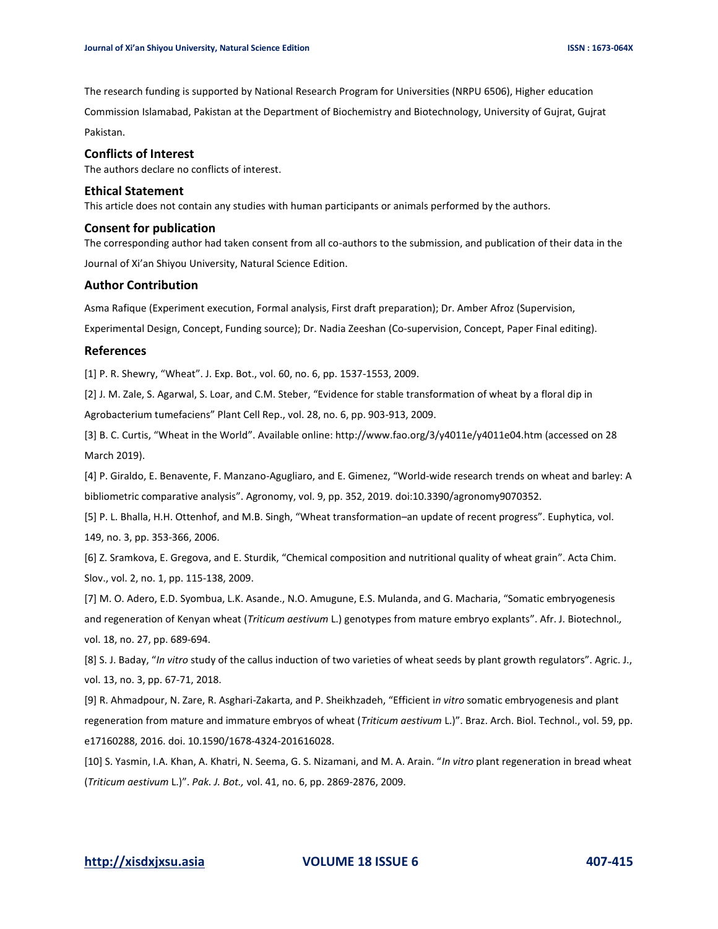The research funding is supported by National Research Program for Universities (NRPU 6506), Higher education Commission Islamabad, Pakistan at the Department of Biochemistry and Biotechnology, University of Gujrat, Gujrat

Pakistan.

### **Conflicts of Interest**

The authors declare no conflicts of interest.

#### **Ethical Statement**

This article does not contain any studies with human participants or animals performed by the authors.

#### **Consent for publication**

The corresponding author had taken consent from all co-authors to the submission, and publication of their data in the

Journal of Xi'an Shiyou University, Natural Science Edition.

# **Author Contribution**

Asma Rafique (Experiment execution, Formal analysis, First draft preparation); Dr. Amber Afroz (Supervision,

Experimental Design, Concept, Funding source); Dr. Nadia Zeeshan (Co-supervision, Concept, Paper Final editing).

#### **References**

[1] P. R. Shewry, "Wheat". J. Exp. Bot., vol. 60, no. 6, pp. 1537-1553, 2009.

[2] J. M. Zale, S. Agarwal, S. Loar, and C.M. Steber, "Evidence for stable transformation of wheat by a floral dip in Agrobacterium tumefaciens" Plant Cell Rep., vol. 28, no. 6, pp. 903-913, 2009.

[3] B. C. Curtis, "Wheat in the World". Available online: http://www.fao.org/3/y4011e/y4011e04.htm (accessed on 28 March 2019).

[4] P. Giraldo, E. Benavente, F. Manzano-Agugliaro, and E. Gimenez, "World-wide research trends on wheat and barley: A bibliometric comparative analysis". Agronomy, vol. 9, pp. 352, 2019. doi:10.3390/agronomy9070352.

[5] P. L. Bhalla, H.H. Ottenhof, and M.B. Singh, "Wheat transformation–an update of recent progress". Euphytica, vol. 149, no. 3, pp. 353-366, 2006.

[6] Z. Sramkova, E. Gregova, and E. Sturdik, "Chemical composition and nutritional quality of wheat grain". Acta Chim. Slov., vol. 2, no. 1, pp. 115-138, 2009.

[7] M. O. Adero, E.D. Syombua, L.K. Asande., N.O. Amugune, E.S. Mulanda, and G. Macharia, "Somatic embryogenesis and regeneration of Kenyan wheat (*Triticum aestivum* L.) genotypes from mature embryo explants". Afr. J. Biotechnol.*,* vol. 18, no. 27, pp. 689-694.

[8] S. J. Baday, "*In vitro* study of the callus induction of two varieties of wheat seeds by plant growth regulators". Agric. J., vol. 13, no. 3, pp. 67-71, 2018.

[9] R. Ahmadpour, N. Zare, R. Asghari-Zakarta, and P. Sheikhzadeh, "Efficient i*n vitro* somatic embryogenesis and plant regeneration from mature and immature embryos of wheat (*Triticum aestivum* L.)". Braz. Arch. Biol. Technol., vol. 59, pp. e17160288, 2016. doi. 10.1590/1678-4324-201616028.

[10] S. Yasmin, I.A. Khan, A. Khatri, N. Seema, G. S. Nizamani, and M. A. Arain. "*In vitro* plant regeneration in bread wheat (*Triticum aestivum* L.)". *Pak. J. Bot.,* vol. 41, no. 6, pp. 2869-2876, 2009.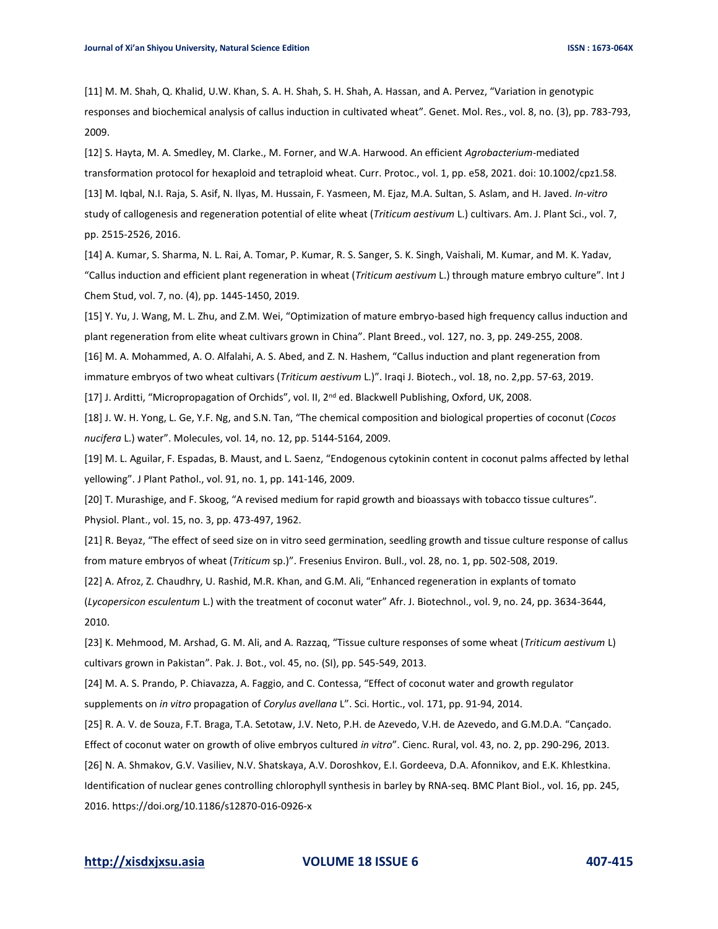[11] M. M. Shah, Q. Khalid, U.W. Khan, S. A. H. Shah, S. H. Shah, A. Hassan, and A. Pervez, "Variation in genotypic responses and biochemical analysis of callus induction in cultivated wheat". Genet. Mol. Res., vol. 8, no. (3), pp. 783-793, 2009.

[12] S. Hayta, M. A. Smedley, M. Clarke., M. Forner, and W.A. Harwood. An efficient *Agrobacterium*-mediated transformation protocol for hexaploid and tetraploid wheat. Curr. Protoc., vol. 1, pp. e58, 2021. doi: 10.1002/cpz1.58. [13] M. Iqbal, N.I. Raja, S. Asif, N. Ilyas, M. Hussain, F. Yasmeen, M. Ejaz, M.A. Sultan, S. Aslam, and H. Javed. *In-vitro* study of callogenesis and regeneration potential of elite wheat (*Triticum aestivum* L.) cultivars. Am. J. Plant Sci., vol. 7, pp. 2515-2526, 2016.

[14] A. Kumar, S. Sharma, N. L. Rai, A. Tomar, P. Kumar, R. S. Sanger, S. K. Singh, Vaishali, M. Kumar, and M. K. Yadav, "Callus induction and efficient plant regeneration in wheat (*Triticum aestivum* L.) through mature embryo culture". Int J Chem Stud, vol. 7, no. (4), pp. 1445-1450, 2019.

[15] Y. Yu, J. Wang, M. L. Zhu, and Z.M. Wei, "Optimization of mature embryo-based high frequency callus induction and plant regeneration from elite wheat cultivars grown in China". Plant Breed., vol. 127, no. 3, pp. 249-255, 2008.

[16] M. A. Mohammed, A. O. Alfalahi, A. S. Abed, and Z. N. Hashem, "Callus induction and plant regeneration from

immature embryos of two wheat cultivars (*Triticum aestivum* L.)". Iraqi J. Biotech., vol. 18, no. 2,pp. 57-63, 2019.

[17] J. Arditti, "Micropropagation of Orchids", vol. II, 2<sup>nd</sup> ed. Blackwell Publishing, Oxford, UK, 2008.

[18] J. W. H. Yong, L. Ge, Y.F. Ng, and S.N. Tan, "The chemical composition and biological properties of coconut (*Cocos nucifera* L.) water". Molecules, vol. 14, no. 12, pp. 5144-5164, 2009.

[19] M. L. Aguilar, F. Espadas, B. Maust, and L. Saenz, "Endogenous cytokinin content in coconut palms affected by lethal yellowing". J Plant Pathol., vol. 91, no. 1, pp. 141-146, 2009.

[20] T. Murashige, and F. Skoog, "A revised medium for rapid growth and bioassays with tobacco tissue cultures". Physiol. Plant., vol. 15, no. 3, pp. 473-497, 1962.

[21] R. Beyaz, "The effect of seed size on in vitro seed germination, seedling growth and tissue culture response of callus from mature embryos of wheat (*Triticum* sp.)". Fresenius Environ. Bull., vol. 28, no. 1, pp. 502-508, 2019.

[22] A. Afroz, Z. Chaudhry, U. Rashid, M.R. Khan, and G.M. Ali, "Enhanced regeneration in explants of tomato (*Lycopersicon esculentum* L.) with the treatment of coconut water" Afr. J. Biotechnol., vol. 9, no. 24, pp. 3634-3644,

[23] K. Mehmood, M. Arshad, G. M. Ali, and A. Razzaq, "Tissue culture responses of some wheat (*Triticum aestivum* L) cultivars grown in Pakistan". Pak. J. Bot., vol. 45, no. (SI), pp. 545-549, 2013.

[24] M. A. S. Prando, P. Chiavazza, A. Faggio, and C. Contessa, "Effect of coconut water and growth regulator supplements on *in vitro* propagation of *Corylus avellana* L". Sci. Hortic., vol. 171, pp. 91-94, 2014.

[25] R. A. V. de Souza, F.T. Braga, T.A. Setotaw, J.V. Neto, P.H. de Azevedo, V.H. de Azevedo, and G.M.D.A. "Cançado.

Effect of coconut water on growth of olive embryos cultured *in vitro*". Cienc. Rural, vol. 43, no. 2, pp. 290-296, 2013.

[26] N. A. Shmakov, G.V. Vasiliev, N.V. Shatskaya, A.V. Doroshkov, E.I. Gordeeva, D.A. Afonnikov, and E.K. Khlestkina.

Identification of nuclear genes controlling chlorophyll synthesis in barley by RNA-seq. BMC Plant Biol., vol. 16, pp. 245, 2016. https://doi.org/10.1186/s12870-016-0926-x

# **[http://xisdxjxsu.asia](http://xisdxjxsu.asia/) VOLUME 18 ISSUE 6 407-415**

2010.